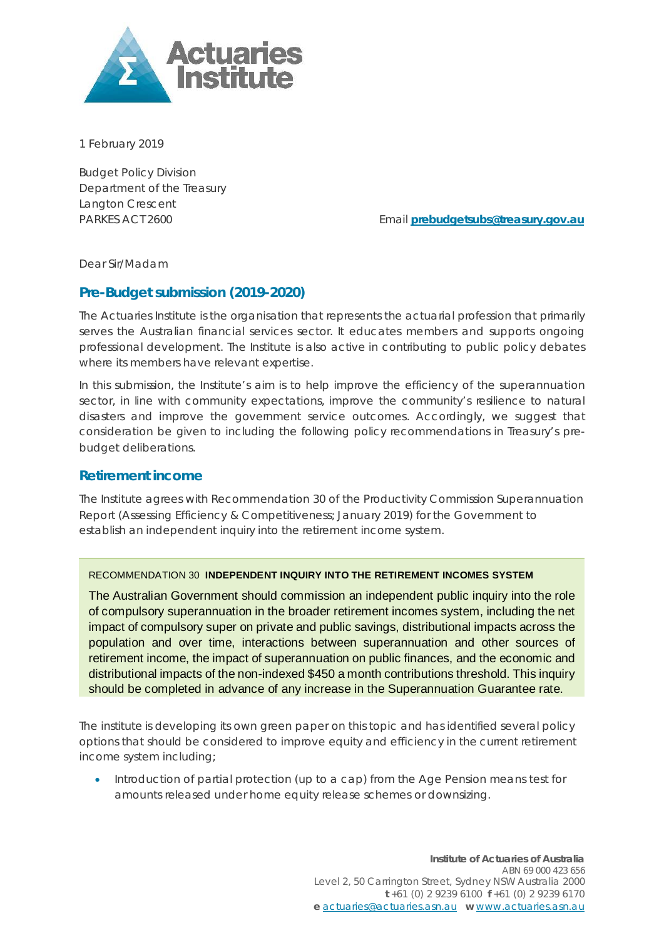

1 February 2019

Budget Policy Division Department of the Treasury Langton Crescent

PARKES ACT 2600 Email **[prebudgetsubs@treasury.gov.au](mailto:prebudgetsubs@treasury.gov.au)**

Dear Sir/Madam

# **Pre-Budget submission (2019-2020)**

The Actuaries Institute is the organisation that represents the actuarial profession that primarily serves the Australian financial services sector. It educates members and supports ongoing professional development. The Institute is also active in contributing to public policy debates where its members have relevant expertise.

In this submission, the Institute's aim is to help improve the efficiency of the superannuation sector, in line with community expectations, improve the community's resilience to natural disasters and improve the government service outcomes. Accordingly, we suggest that consideration be given to including the following policy recommendations in Treasury's prebudget deliberations.

# **Retirement income**

The Institute agrees with Recommendation 30 of the Productivity Commission Superannuation Report (Assessing Efficiency & Competitiveness; January 2019) for the Government to establish an independent inquiry into the retirement income system.

### RECOMMENDATION 30 **INDEPENDENT INQUIRY INTO THE RETIREMENT INCOMES SYSTEM**

The Australian Government should commission an independent public inquiry into the role of compulsory superannuation in the broader retirement incomes system, including the net impact of compulsory super on private and public savings, distributional impacts across the population and over time, interactions between superannuation and other sources of retirement income, the impact of superannuation on public finances, and the economic and distributional impacts of the non-indexed \$450 a month contributions threshold. This inquiry should be completed in advance of any increase in the Superannuation Guarantee rate.

The institute is developing its own green paper on this topic and has identified several policy options that should be considered to improve equity and efficiency in the current retirement income system including;

• Introduction of partial protection (up to a cap) from the Age Pension means test for amounts released under home equity release schemes or downsizing.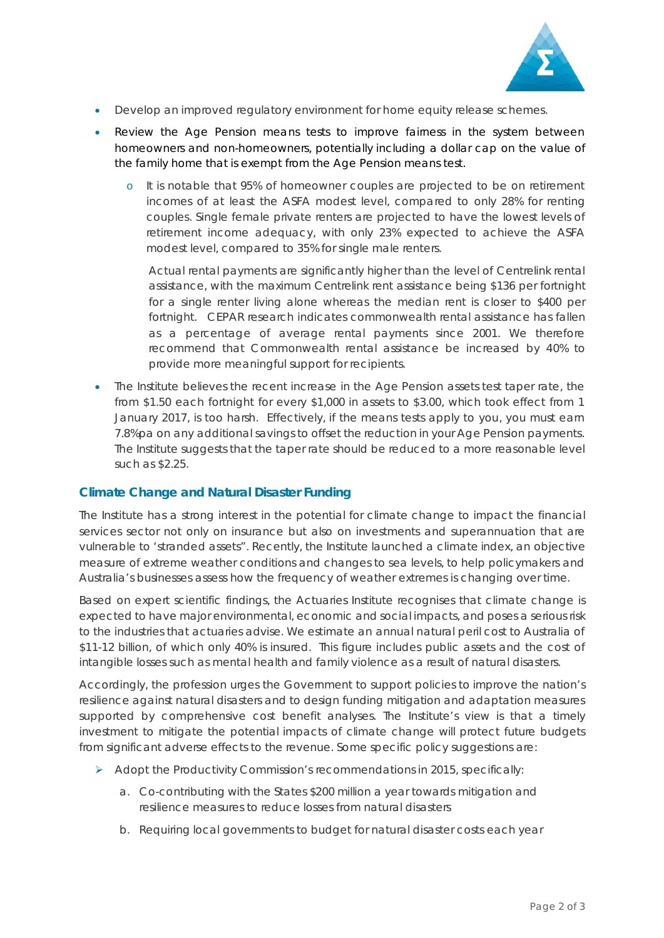

- Develop an improved regulatory environment for home equity release schemes.
- Review the Age Pension means tests to improve fairness in the system between homeowners and non-homeowners, potentially including a dollar cap on the value of the family home that is exempt from the Age Pension means test.
	- o It is notable that 95% of homeowner couples are projected to be on retirement incomes of at least the ASFA modest level, compared to only 28% for renting couples. Single female private renters are projected to have the lowest levels of retirement income adequacy, with only 23% expected to achieve the ASFA modest level, compared to 35% for single male renters.

Actual rental payments are significantly higher than the level of Centrelink rental assistance, with the maximum Centrelink rent assistance being \$136 per fortnight for a single renter living alone whereas the median rent is closer to \$400 per fortnight. CEPAR research indicates commonwealth rental assistance has fallen as a percentage of average rental payments since 2001. We therefore recommend that Commonwealth rental assistance be increased by 40% to provide more meaningful support for recipients.

• The Institute believes the recent increase in the Age Pension assets test taper rate, the from \$1.50 each fortnight for every \$1,000 in assets to \$3.00, which took effect from 1 January 2017, is too harsh. Effectively, if the means tests apply to you, you must earn 7.8%pa on any additional savings to offset the reduction in your Age Pension payments. The Institute suggests that the taper rate should be reduced to a more reasonable level such as \$2.25.

# **Climate Change and Natural Disaster Funding**

The Institute has a strong interest in the potential for climate change to impact the financial services sector not only on insurance but also on investments and superannuation that are vulnerable to 'stranded assets". Recently, the Institute launched a climate index, an objective measure of extreme weather conditions and changes to sea levels, to help policymakers and Australia's businesses assess how the frequency of weather extremes is changing over time.

Based on expert scientific findings, the Actuaries Institute recognises that climate change is expected to have major environmental, economic and social impacts, and poses a serious risk to the industries that actuaries advise. We estimate an annual natural peril cost to Australia of \$11-12 billion, of which only 40% is insured. This figure includes public assets and the cost of intangible losses such as mental health and family violence as a result of natural disasters.

Accordingly, the profession urges the Government to support policies to improve the nation's resilience against natural disasters and to design funding mitigation and adaptation measures supported by comprehensive cost benefit analyses. The Institute's view is that a timely investment to mitigate the potential impacts of climate change will protect future budgets from significant adverse effects to the revenue. Some specific policy suggestions are:

- $\triangleright$  Adopt the Productivity Commission's recommendations in 2015, specifically:
	- a. Co-contributing with the States \$200 million a year towards mitigation and resilience measures to reduce losses from natural disasters
	- b. Requiring local governments to budget for natural disaster costs each year